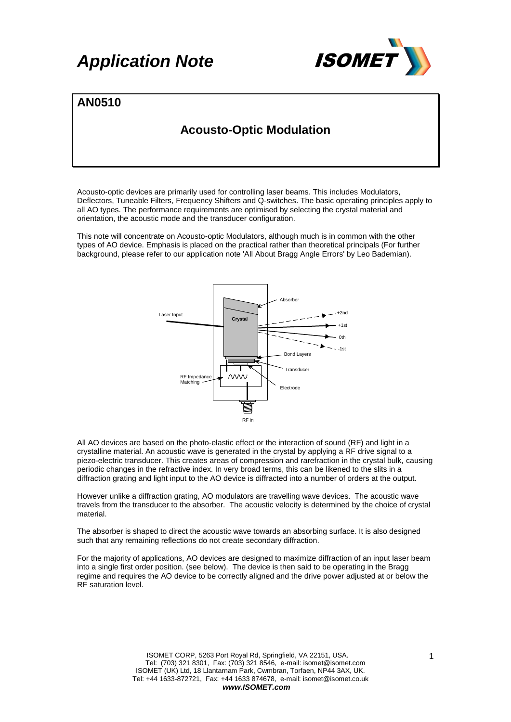

### **AN0510**

### **Acousto-Optic Modulation**

Acousto-optic devices are primarily used for controlling laser beams. This includes Modulators, Deflectors, Tuneable Filters, Frequency Shifters and Q-switches. The basic operating principles apply to all AO types. The performance requirements are optimised by selecting the crystal material and orientation, the acoustic mode and the transducer configuration.

This note will concentrate on Acousto-optic Modulators, although much is in common with the other types of AO device. Emphasis is placed on the practical rather than theoretical principals (For further background, please refer to our application note 'All About Bragg Angle Errors' by Leo Bademian).



All AO devices are based on the photo-elastic effect or the interaction of sound (RF) and light in a crystalline material. An acoustic wave is generated in the crystal by applying a RF drive signal to a piezo-electric transducer. This creates areas of compression and rarefraction in the crystal bulk, causing periodic changes in the refractive index. In very broad terms, this can be likened to the slits in a diffraction grating and light input to the AO device is diffracted into a number of orders at the output.

However unlike a diffraction grating, AO modulators are travelling wave devices. The acoustic wave travels from the transducer to the absorber. The acoustic velocity is determined by the choice of crystal material.

The absorber is shaped to direct the acoustic wave towards an absorbing surface. It is also designed such that any remaining reflections do not create secondary diffraction.

For the majority of applications, AO devices are designed to maximize diffraction of an input laser beam into a single first order position. (see below). The device is then said to be operating in the Bragg regime and requires the AO device to be correctly aligned and the drive power adjusted at or below the RF saturation level.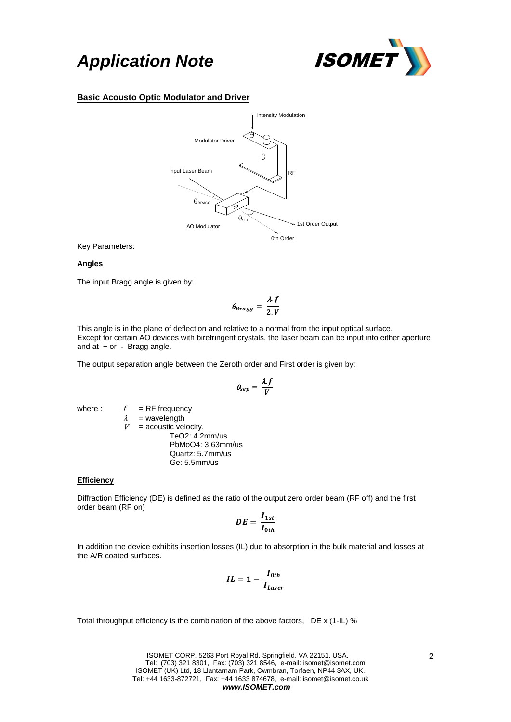

### **Basic Acousto Optic Modulator and Driver**



Key Parameters:

#### **Angles**

The input Bragg angle is given by:

$$
\theta_{Bragg} = \frac{\lambda f}{2.V}
$$

This angle is in the plane of deflection and relative to a normal from the input optical surface. Except for certain AO devices with birefringent crystals, the laser beam can be input into either aperture and at + or - Bragg angle.

The output separation angle between the Zeroth order and First order is given by:

$$
\theta_{sep}=\frac{\lambda f}{V}
$$

where :  $f = RF$  frequency  $\lambda$  = wavelength<br>  $V$  = acoustic vel  $=$  acoustic velocity, TeO2: 4.2mm/us PbMoO4: 3.63mm/us Quartz: 5.7mm/us Ge: 5.5mm/us

### **Efficiency**

Diffraction Efficiency (DE) is defined as the ratio of the output zero order beam (RF off) and the first order beam (RF on)

$$
DE = \frac{I_{1st}}{I_{0th}}
$$

In addition the device exhibits insertion losses (IL) due to absorption in the bulk material and losses at the A/R coated surfaces.

$$
IL = 1 - \frac{I_{0th}}{I_{Laser}}
$$

Total throughput efficiency is the combination of the above factors, DE x (1-IL) %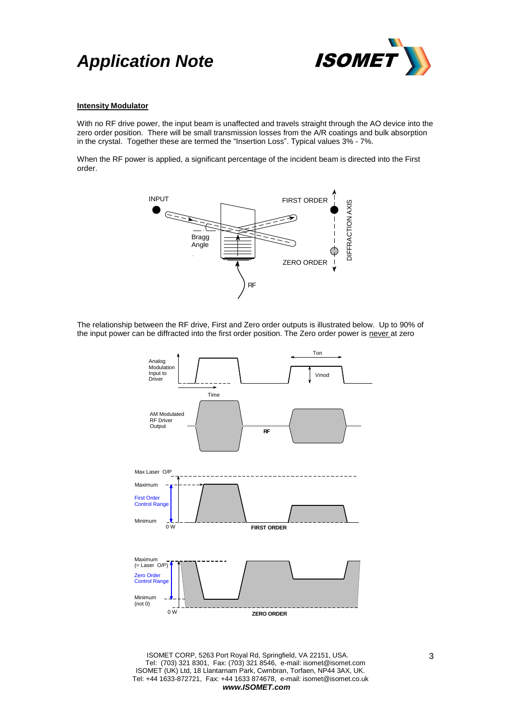

### **Intensity Modulator**

With no RF drive power, the input beam is unaffected and travels straight through the AO device into the zero order position. There will be small transmission losses from the A/R coatings and bulk absorption in the crystal. Together these are termed the "Insertion Loss". Typical values 3% - 7%.

When the RF power is applied, a significant percentage of the incident beam is directed into the First order.



The relationship between the RF drive, First and Zero order outputs is illustrated below. Up to 90% of the input power can be diffracted into the first order position. The Zero order power is never at zero

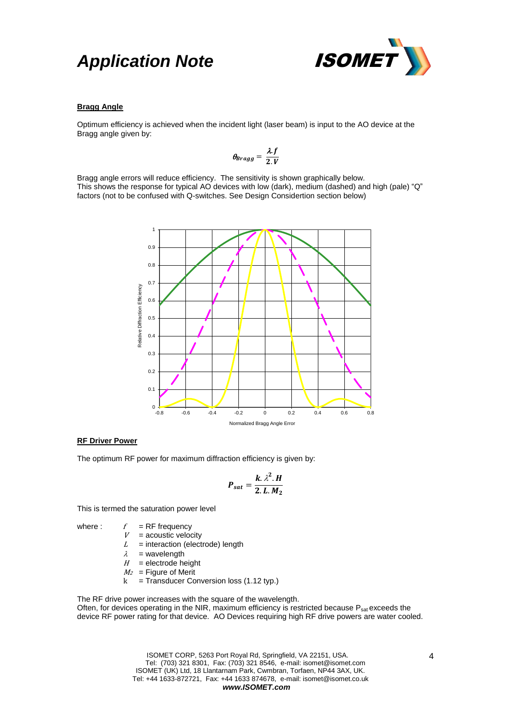

### **Bragg Angle**

Optimum efficiency is achieved when the incident light (laser beam) is input to the AO device at the Bragg angle given by:

$$
\theta_{Bragg}=\frac{\lambda f}{2.V}
$$

Bragg angle errors will reduce efficiency. The sensitivity is shown graphically below. This shows the response for typical AO devices with low (dark), medium (dashed) and high (pale) "Q" factors (not to be confused with Q-switches. See Design Considertion section below)



### **RF Driver Power**

The optimum RF power for maximum diffraction efficiency is given by:

$$
P_{sat} = \frac{k \cdot \lambda^2 \cdot H}{2 \cdot L \cdot M_2}
$$

This is termed the saturation power level

- where :  $f = RF$  frequency
	- $V =$  acoustic velocity
	- $L =$  interaction (electrode) length
	- $\lambda$  = wavelength
	- $H =$  electrode height
	- $M_2$  = Figure of Merit
	- $k =$  Transducer Conversion loss (1.12 typ.)

The RF drive power increases with the square of the wavelength. Often, for devices operating in the NIR, maximum efficiency is restricted because P<sub>sat</sub> exceeds the device RF power rating for that device. AO Devices requiring high RF drive powers are water cooled.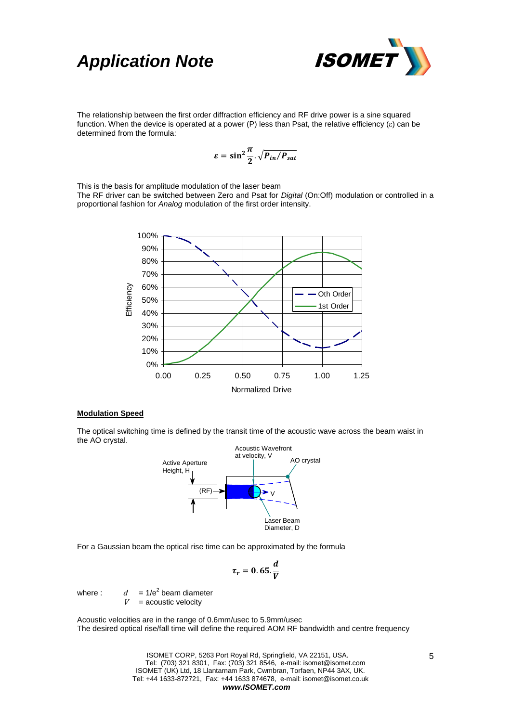

The relationship between the first order diffraction efficiency and RF drive power is a sine squared function. When the device is operated at a power (P) less than Psat, the relative efficiency  $(\varepsilon)$  can be determined from the formula:

$$
\varepsilon = \sin^2 \frac{\pi}{2} \cdot \sqrt{P_{in}/P_{sat}}
$$

This is the basis for amplitude modulation of the laser beam

The RF driver can be switched between Zero and Psat for *Digital* (On:Off) modulation or controlled in a proportional fashion for *Analog* modulation of the first order intensity.



#### **Modulation Speed**

The optical switching time is defined by the transit time of the acoustic wave across the beam waist in the AO crystal.



For a Gaussian beam the optical rise time can be approximated by the formula

$$
\tau_r=0.65.\frac{d}{V}
$$

where :  $d = 1/e^2$  beam diameter

 $V =$  acoustic velocity

Acoustic velocities are in the range of 0.6mm/usec to 5.9mm/usec The desired optical rise/fall time will define the required AOM RF bandwidth and centre frequency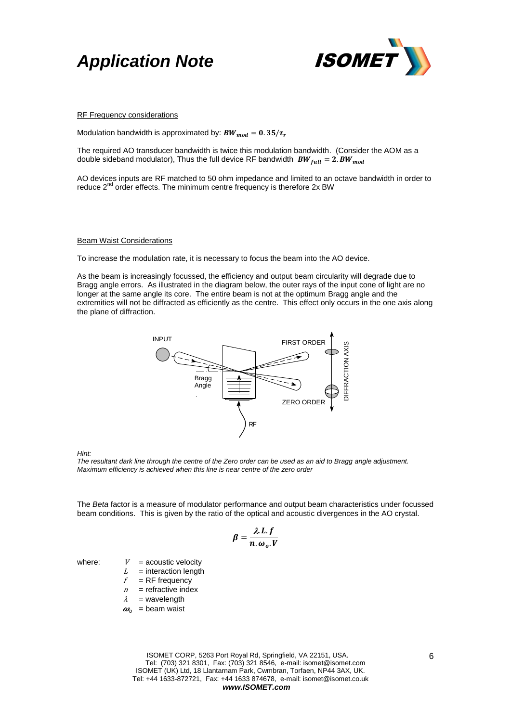



#### RF Frequency considerations

Modulation bandwidth is approximated by:  $BW_{mod} = 0.35/\tau_r$ 

The required AO transducer bandwidth is twice this modulation bandwidth. (Consider the AOM as a double sideband modulator), Thus the full device RF bandwidth  $BW_{full} = 2$ .  $BW_{mod}$ 

AO devices inputs are RF matched to 50 ohm impedance and limited to an octave bandwidth in order to reduce 2<sup>nd</sup> order effects. The minimum centre frequency is therefore 2x BW

#### Beam Waist Considerations

To increase the modulation rate, it is necessary to focus the beam into the AO device.

As the beam is increasingly focussed, the efficiency and output beam circularity will degrade due to Bragg angle errors. As illustrated in the diagram below, the outer rays of the input cone of light are no longer at the same angle its core. The entire beam is not at the optimum Bragg angle and the extremities will not be diffracted as efficiently as the centre. This effect only occurs in the one axis along the plane of diffraction.



*Hint:*

*The resultant dark line through the centre of the Zero order can be used as an aid to Bragg angle adjustment. Maximum efficiency is achieved when this line is near centre of the zero order* 

The *Beta* factor is a measure of modulator performance and output beam characteristics under focussed beam conditions. This is given by the ratio of the optical and acoustic divergences in the AO crystal.

$$
\beta = \frac{\lambda L.f}{n.\omega_o.V}
$$

where:  $V =$  acoustic velocity

- $L =$  interaction length
- $f = RF$  frequency
- $n =$  refractive index
- $\lambda$  = wavelength
- $\omega_0$  = beam waist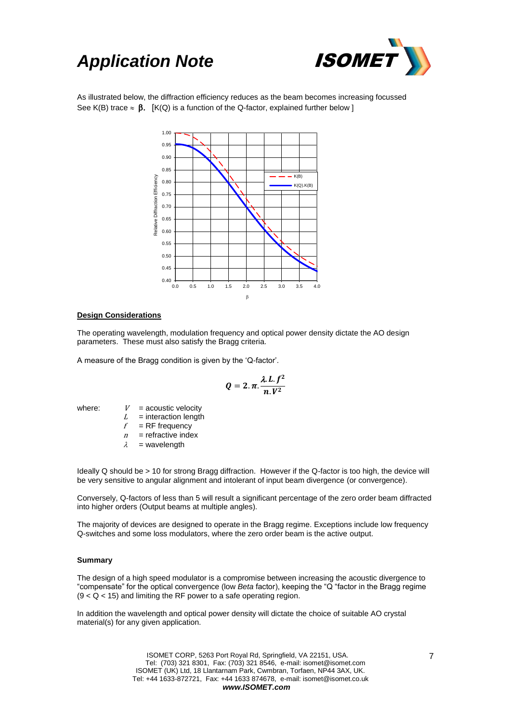

As illustrated below, the diffraction efficiency reduces as the beam becomes increasing focussed See K(B) trace  $\approx \beta$ . [K(Q) is a function of the Q-factor, explained further below ]



### **Design Considerations**

The operating wavelength, modulation frequency and optical power density dictate the AO design parameters. These must also satisfy the Bragg criteria.

A measure of the Bragg condition is given by the 'Q-factor'.

$$
Q=2.\pi.\frac{\lambda.L.f^2}{n.V^2}
$$

where:  $V =$  acoustic velocity

- $L =$  interaction length
- $f = RF$  frequency
- $n =$  refractive index
- $\lambda$  = wavelength

Ideally Q should be > 10 for strong Bragg diffraction. However if the Q-factor is too high, the device will be very sensitive to angular alignment and intolerant of input beam divergence (or convergence).

Conversely, Q-factors of less than 5 will result a significant percentage of the zero order beam diffracted into higher orders (Output beams at multiple angles).

The majority of devices are designed to operate in the Bragg regime. Exceptions include low frequency Q-switches and some loss modulators, where the zero order beam is the active output.

### **Summary**

The design of a high speed modulator is a compromise between increasing the acoustic divergence to "compensate" for the optical convergence (low *Beta* factor), keeping the "Q "factor in the Bragg regime  $(9 < Q < 15)$  and limiting the RF power to a safe operating region.

In addition the wavelength and optical power density will dictate the choice of suitable AO crystal material(s) for any given application.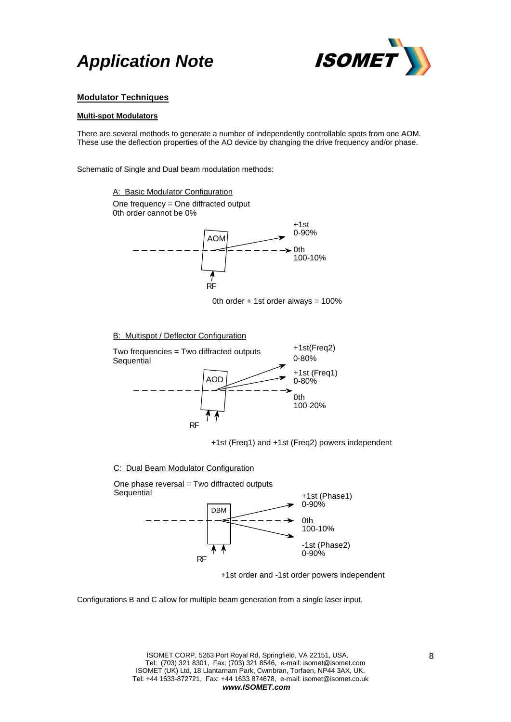

### **Modulator Techniques**

### **Multi-spot Modulators**

There are several methods to generate a number of independently controllable spots from one AOM. These use the deflection properties of the AO device by changing the drive frequency and/or phase.

Schematic of Single and Dual beam modulation methods:

One frequency = One diffracted output 0th order cannot be 0% A: Basic Modulator Configuration



0th order  $+$  1st order always = 100%

### B: Multispot / Deflector Configuration



+1st (Freq1) and +1st (Freq2) powers independent

### C: Dual Beam Modulator Configuration



+1st order and -1st order powers independent

Configurations B and C allow for multiple beam generation from a single laser input.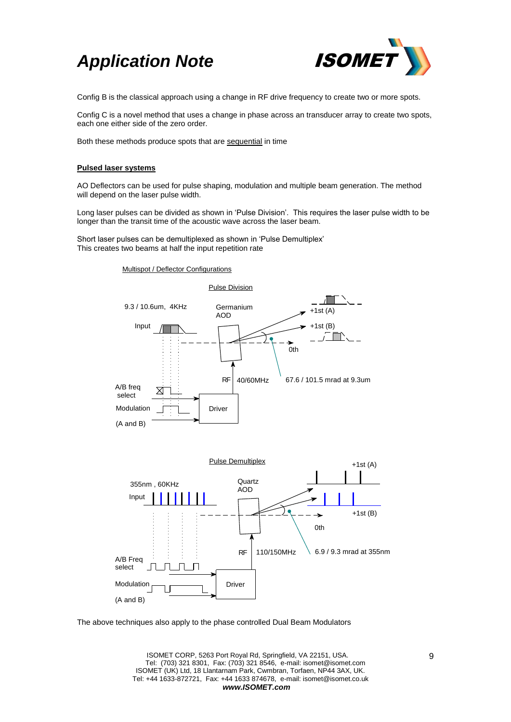

Config B is the classical approach using a change in RF drive frequency to create two or more spots.

Config C is a novel method that uses a change in phase across an transducer array to create two spots, each one either side of the zero order.

Both these methods produce spots that are sequential in time

### **Pulsed laser systems**

AO Deflectors can be used for pulse shaping, modulation and multiple beam generation. The method will depend on the laser pulse width.

Long laser pulses can be divided as shown in 'Pulse Division'. This requires the laser pulse width to be longer than the transit time of the acoustic wave across the laser beam.

Short laser pulses can be demultiplexed as shown in 'Pulse Demultiplex' This creates two beams at half the input repetition rate

### Multispot / Deflector Configurations





The above techniques also apply to the phase controlled Dual Beam Modulators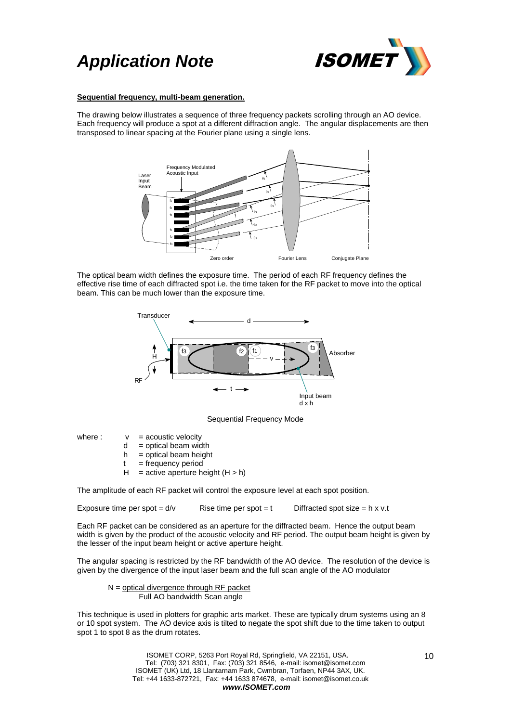

### **Sequential frequency, multi-beam generation.**

The drawing below illustrates a sequence of three frequency packets scrolling through an AO device. Each frequency will produce a spot at a different diffraction angle. The angular displacements are then transposed to linear spacing at the Fourier plane using a single lens.



The optical beam width defines the exposure time. The period of each RF frequency defines the effective rise time of each diffracted spot i.e. the time taken for the RF packet to move into the optical beam. This can be much lower than the exposure time.



Sequential Frequency Mode

where :  $v =$  acoustic velocity

- $d =$  optical beam width
- $h =$  optical beam height
- $t = frequency$  period
- $H =$  active aperture height  $(H > h)$

The amplitude of each RF packet will control the exposure level at each spot position.

Exposure time per spot =  $d/v$  Rise time per spot = t Diffracted spot size = h x v.t

Each RF packet can be considered as an aperture for the diffracted beam. Hence the output beam width is given by the product of the acoustic velocity and RF period. The output beam height is given by the lesser of the input beam height or active aperture height.

The angular spacing is restricted by the RF bandwidth of the AO device. The resolution of the device is given by the divergence of the input laser beam and the full scan angle of the AO modulator

$$
N = \frac{optical divergence through RF packet}{Full AO bandwidth Scan angle}
$$

This technique is used in plotters for graphic arts market. These are typically drum systems using an 8 or 10 spot system. The AO device axis is tilted to negate the spot shift due to the time taken to output spot 1 to spot 8 as the drum rotates.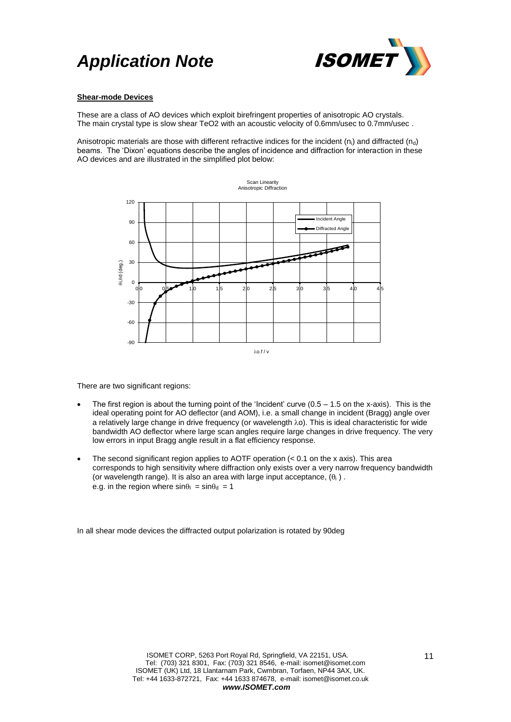

### **Shear-mode Devices**

These are a class of AO devices which exploit birefringent properties of anisotropic AO crystals. The main crystal type is slow shear TeO2 with an acoustic velocity of 0.6mm/usec to 0.7mm/usec.

Anisotropic materials are those with different refractive indices for the incident ( $n_i$ ) and diffracted ( $n_d$ ) beams. The 'Dixon' equations describe the angles of incidence and diffraction for interaction in these AO devices and are illustrated in the simplified plot below:



There are two significant regions:

- The first region is about the turning point of the 'Incident' curve  $(0.5 1.5)$  on the x-axis). This is the ideal operating point for AO deflector (and AOM), i.e. a small change in incident (Bragg) angle over a relatively large change in drive frequency (or wavelength  $\lambda$ o). This is ideal characteristic for wide bandwidth AO deflector where large scan angles require large changes in drive frequency. The very low errors in input Bragg angle result in a flat efficiency response.
- The second significant region applies to AOTF operation (< 0.1 on the x axis). This area corresponds to high sensitivity where diffraction only exists over a very narrow frequency bandwidth (or wavelength range). It is also an area with large input acceptance,  $(\theta_i)$ . e.g. in the region where  $sin\theta_1 = sin\theta_d = 1$

In all shear mode devices the diffracted output polarization is rotated by 90deg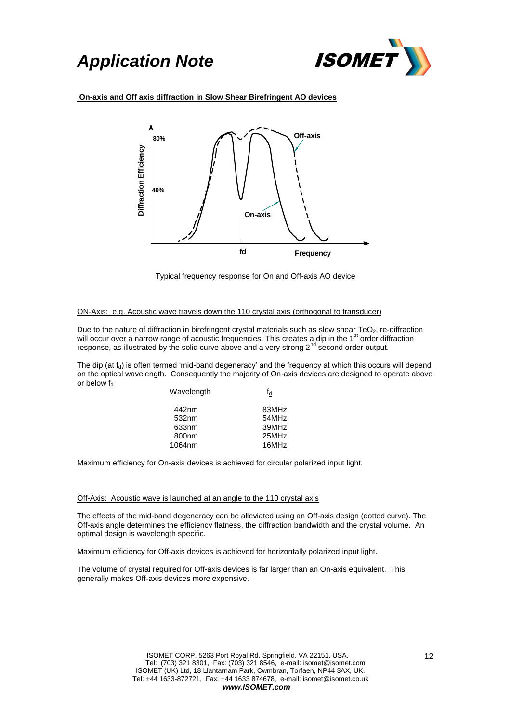

### **On-axis and Off axis diffraction in Slow Shear Birefringent AO devices**



Typical frequency response for On and Off-axis AO device

### ON-Axis: e.g. Acoustic wave travels down the 110 crystal axis (orthogonal to transducer)

Due to the nature of diffraction in birefringent crystal materials such as slow shear  $TeO<sub>2</sub>$ , re-diffraction will occur over a narrow range of acoustic frequencies. This creates a dip in the 1<sup>st</sup> order diffraction response, as illustrated by the solid curve above and a very strong 2<sup>nd</sup> second order output.

The dip (at  $f_d$ ) is often termed 'mid-band degeneracy' and the frequency at which this occurs will depend on the optical wavelength. Consequently the majority of On-axis devices are designed to operate above or below  $f_d$ 

| fd    |
|-------|
| 83MHz |
| 54MHz |
| 39MHz |
| 25MHz |
| 16MHz |
|       |

Maximum efficiency for On-axis devices is achieved for circular polarized input light.

#### Off-Axis: Acoustic wave is launched at an angle to the 110 crystal axis

The effects of the mid-band degeneracy can be alleviated using an Off-axis design (dotted curve). The Off-axis angle determines the efficiency flatness, the diffraction bandwidth and the crystal volume. An optimal design is wavelength specific.

Maximum efficiency for Off-axis devices is achieved for horizontally polarized input light.

The volume of crystal required for Off-axis devices is far larger than an On-axis equivalent. This generally makes Off-axis devices more expensive.